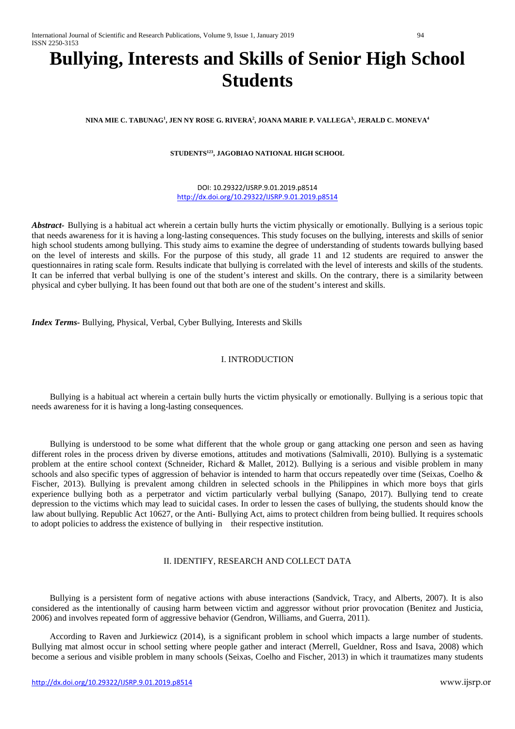# **Bullying, Interests and Skills of Senior High School Students**

**NINA MIE C. TABUNAG1 , JEN NY ROSE G. RIVERA2 , JOANA MARIE P. VALLEGA3,, JERALD C. MONEVA4**

## **STUDENTS123, JAGOBIAO NATIONAL HIGH SCHOOL**

DOI: 10.29322/IJSRP.9.01.2019.p8514 <http://dx.doi.org/10.29322/IJSRP.9.01.2019.p8514>

*Abstract-* Bullying is a habitual act wherein a certain bully hurts the victim physically or emotionally. Bullying is a serious topic that needs awareness for it is having a long-lasting consequences. This study focuses on the bullying, interests and skills of senior high school students among bullying. This study aims to examine the degree of understanding of students towards bullying based on the level of interests and skills. For the purpose of this study, all grade 11 and 12 students are required to answer the questionnaires in rating scale form. Results indicate that bullying is correlated with the level of interests and skills of the students. It can be inferred that verbal bullying is one of the student's interest and skills. On the contrary, there is a similarity between physical and cyber bullying. It has been found out that both are one of the student's interest and skills.

*Index Terms-* Bullying, Physical, Verbal, Cyber Bullying, Interests and Skills

## I. INTRODUCTION

Bullying is a habitual act wherein a certain bully hurts the victim physically or emotionally. Bullying is a serious topic that needs awareness for it is having a long-lasting consequences.

Bullying is understood to be some what different that the whole group or gang attacking one person and seen as having different roles in the process driven by diverse emotions, attitudes and motivations (Salmivalli, 2010). Bullying is a systematic problem at the entire school context (Schneider, Richard & Mallet, 2012). Bullying is a serious and visible problem in many schools and also specific types of aggression of behavior is intended to harm that occurs repeatedly over time (Seixas, Coelho & Fischer, 2013). Bullying is prevalent among children in selected schools in the Philippines in which more boys that girls experience bullying both as a perpetrator and victim particularly verbal bullying (Sanapo, 2017). Bullying tend to create depression to the victims which may lead to suicidal cases. In order to lessen the cases of bullying, the students should know the law about bullying. Republic Act 10627, or the Anti- Bullying Act, aims to protect children from being bullied. It requires schools to adopt policies to address the existence of bullying in their respective institution.

## II. IDENTIFY, RESEARCH AND COLLECT DATA

Bullying is a persistent form of negative actions with abuse interactions (Sandvick, Tracy, and Alberts, 2007). It is also considered as the intentionally of causing harm between victim and aggressor without prior provocation (Benitez and Justicia, 2006) and involves repeated form of aggressive behavior (Gendron, Williams, and Guerra, 2011).

According to Raven and Jurkiewicz (2014), is a significant problem in school which impacts a large number of students. Bullying mat almost occur in school setting where people gather and interact (Merrell, Gueldner, Ross and Isava, 2008) which become a serious and visible problem in many schools (Seixas, Coelho and Fischer, 2013) in which it traumatizes many students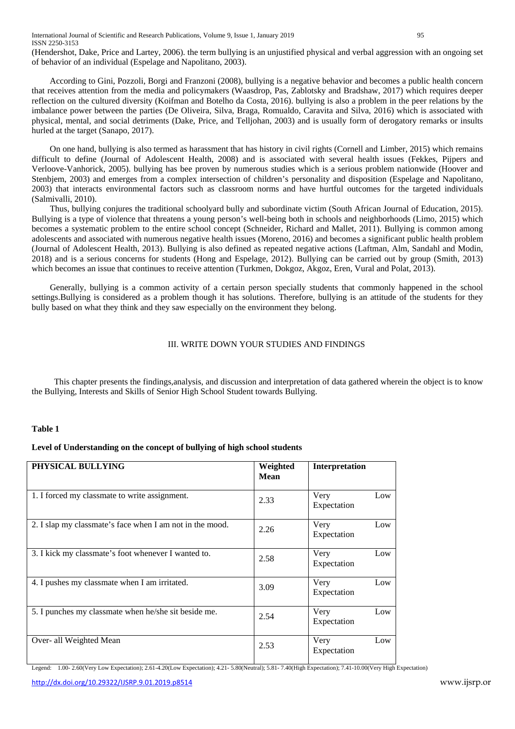International Journal of Scientific and Research Publications, Volume 9, Issue 1, January 2019 95 ISSN 2250-3153

(Hendershot, Dake, Price and Lartey, 2006). the term bullying is an unjustified physical and verbal aggression with an ongoing set of behavior of an individual (Espelage and Napolitano, 2003).

According to Gini, Pozzoli, Borgi and Franzoni (2008), bullying is a negative behavior and becomes a public health concern that receives attention from the media and policymakers (Waasdrop, Pas, Zablotsky and Bradshaw, 2017) which requires deeper reflection on the cultured diversity (Koifman and Botelho da Costa, 2016). bullying is also a problem in the peer relations by the imbalance power between the parties (De Oliveira, Silva, Braga, Romualdo, Caravita and Silva, 2016) which is associated with physical, mental, and social detriments (Dake, Price, and Telljohan, 2003) and is usually form of derogatory remarks or insults hurled at the target (Sanapo, 2017).

On one hand, bullying is also termed as harassment that has history in civil rights (Cornell and Limber, 2015) which remains difficult to define (Journal of Adolescent Health, 2008) and is associated with several health issues (Fekkes, Pijpers and Verloove-Vanhorick, 2005). bullying has bee proven by numerous studies which is a serious problem nationwide (Hoover and Stenbjem, 2003) and emerges from a complex intersection of children's personality and disposition (Espelage and Napolitano, 2003) that interacts environmental factors such as classroom norms and have hurtful outcomes for the targeted individuals (Salmivalli, 2010).

Thus, bullying conjures the traditional schoolyard bully and subordinate victim (South African Journal of Education, 2015). Bullying is a type of violence that threatens a young person's well-being both in schools and neighborhoods (Limo, 2015) which becomes a systematic problem to the entire school concept (Schneider, Richard and Mallet, 2011). Bullying is common among adolescents and associated with numerous negative health issues (Moreno, 2016) and becomes a significant public health problem (Journal of Adolescent Health, 2013). Bullying is also defined as repeated negative actions (Laftman, Alm, Sandahl and Modin, 2018) and is a serious concerns for students (Hong and Espelage, 2012). Bullying can be carried out by group (Smith, 2013) which becomes an issue that continues to receive attention (Turkmen, Dokgoz, Akgoz, Eren, Vural and Polat, 2013).

Generally, bullying is a common activity of a certain person specially students that commonly happened in the school settings.Bullying is considered as a problem though it has solutions. Therefore, bullying is an attitude of the students for they bully based on what they think and they saw especially on the environment they belong.

#### III. WRITE DOWN YOUR STUDIES AND FINDINGS

This chapter presents the findings,analysis, and discussion and interpretation of data gathered wherein the object is to know the Bullying, Interests and Skills of Senior High School Student towards Bullying.

#### **Table 1**

## **Level of Understanding on the concept of bullying of high school students**

| PHYSICAL BULLYING                                        | Weighted<br><b>Mean</b> | Interpretation             |
|----------------------------------------------------------|-------------------------|----------------------------|
| 1. I forced my classmate to write assignment.            | 2.33                    | Low<br>Very<br>Expectation |
| 2. I slap my classmate's face when I am not in the mood. | 2.26                    | Low<br>Very<br>Expectation |
| 3. I kick my classmate's foot whenever I wanted to.      | 2.58                    | Very<br>Low<br>Expectation |
| 4. I pushes my classmate when I am irritated.            | 3.09                    | Low<br>Very<br>Expectation |
| 5. I punches my classmate when he/she sit beside me.     | 2.54                    | Very<br>Low<br>Expectation |
| Over- all Weighted Mean                                  | 2.53                    | Low<br>Very<br>Expectation |

Legend: 1.00- 2.60(Very Low Expectation); 2.61-4.20(Low Expectation); 4.21- 5.80(Neutral); 5.81- 7.40(High Expectation); 7.41-10.00(Very High Expectation)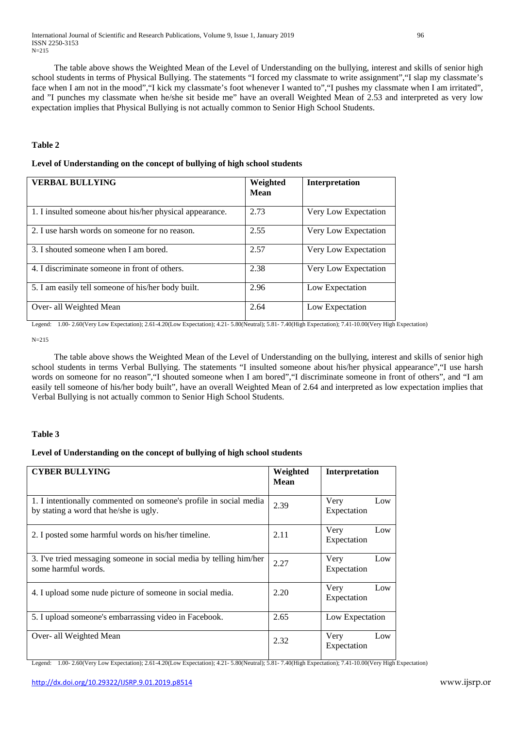The table above shows the Weighted Mean of the Level of Understanding on the bullying, interest and skills of senior high school students in terms of Physical Bullying. The statements "I forced my classmate to write assignment","I slap my classmate's face when I am not in the mood","I kick my classmate's foot whenever I wanted to","I pushes my classmate when I am irritated", and "I punches my classmate when he/she sit beside me" have an overall Weighted Mean of 2.53 and interpreted as very low expectation implies that Physical Bullying is not actually common to Senior High School Students.

#### **Table 2**

#### **Level of Understanding on the concept of bullying of high school students**

| <b>VERBAL BULLYING</b>                                   | Weighted<br><b>Mean</b> | Interpretation       |
|----------------------------------------------------------|-------------------------|----------------------|
| 1. I insulted someone about his/her physical appearance. | 2.73                    | Very Low Expectation |
| 2. I use harsh words on someone for no reason.           | 2.55                    | Very Low Expectation |
| 3. I shouted someone when I am bored.                    | 2.57                    | Very Low Expectation |
| 4. I discriminate someone in front of others.            | 2.38                    | Very Low Expectation |
| 5. I am easily tell someone of his/her body built.       | 2.96                    | Low Expectation      |
| Over- all Weighted Mean                                  | 2.64                    | Low Expectation      |

Legend: 1.00- 2.60(Very Low Expectation); 2.61-4.20(Low Expectation); 4.21- 5.80(Neutral); 5.81- 7.40(High Expectation); 7.41-10.00(Very High Expectation)

N=215

The table above shows the Weighted Mean of the Level of Understanding on the bullying, interest and skills of senior high school students in terms Verbal Bullying. The statements "I insulted someone about his/her physical appearance","I use harsh words on someone for no reason", "I shouted someone when I am bored", "I discriminate someone in front of others", and "I am easily tell someone of his/her body built", have an overall Weighted Mean of 2.64 and interpreted as low expectation implies that Verbal Bullying is not actually common to Senior High School Students.

#### **Table 3**

# **Level of Understanding on the concept of bullying of high school students**

| <b>CYBER BULLYING</b>                                                                                       | Weighted<br>Mean | <b>Interpretation</b>      |
|-------------------------------------------------------------------------------------------------------------|------------------|----------------------------|
| 1. I intentionally commented on someone's profile in social media<br>by stating a word that he/she is ugly. | 2.39             | Very<br>Low<br>Expectation |
| 2. I posted some harmful words on his/her timeline.                                                         | 2.11             | Very<br>Low<br>Expectation |
| 3. I've tried messaging someone in social media by telling him/her<br>some harmful words.                   | 2.27             | Very<br>Low<br>Expectation |
| 4. I upload some nude picture of someone in social media.                                                   | 2.20             | Very<br>Low<br>Expectation |
| 5. I upload someone's embarrassing video in Facebook.                                                       | 2.65             | Low Expectation            |
| Over- all Weighted Mean                                                                                     | 2.32             | Very<br>Low<br>Expectation |

Legend: 1.00- 2.60(Very Low Expectation); 2.61-4.20(Low Expectation); 4.21- 5.80(Neutral); 5.81- 7.40(High Expectation); 7.41-10.00(Very High Expectation)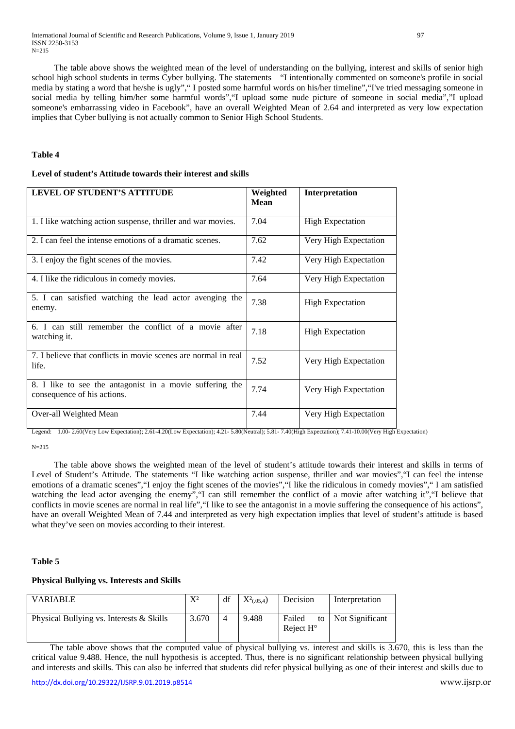The table above shows the weighted mean of the level of understanding on the bullying, interest and skills of senior high school high school students in terms Cyber bullying. The statements "I intentionally commented on someone's profile in social media by stating a word that he/she is ugly"," I posted some harmful words on his/her timeline","I've tried messaging someone in social media by telling him/her some harmful words","I upload some nude picture of someone in social media","I upload someone's embarrassing video in Facebook", have an overall Weighted Mean of 2.64 and interpreted as very low expectation implies that Cyber bullying is not actually common to Senior High School Students.

#### **Table 4**

#### **Level of student's Attitude towards their interest and skills**

| LEVEL OF STUDENT'S ATTITUDE                                                             | Weighted<br><b>Mean</b> | Interpretation          |
|-----------------------------------------------------------------------------------------|-------------------------|-------------------------|
| 1. I like watching action suspense, thriller and war movies.                            | 7.04                    | <b>High Expectation</b> |
| 2. I can feel the intense emotions of a dramatic scenes.                                | 7.62                    | Very High Expectation   |
| 3. I enjoy the fight scenes of the movies.                                              | 7.42                    | Very High Expectation   |
| 4. I like the ridiculous in comedy movies.                                              | 7.64                    | Very High Expectation   |
| 5. I can satisfied watching the lead actor avenging the<br>enemy.                       | 7.38                    | <b>High Expectation</b> |
| 6. I can still remember the conflict of a movie after<br>watching it.                   | 7.18                    | <b>High Expectation</b> |
| 7. I believe that conflicts in movie scenes are normal in real<br>life.                 | 7.52                    | Very High Expectation   |
| 8. I like to see the antagonist in a movie suffering the<br>consequence of his actions. | 7.74                    | Very High Expectation   |
| Over-all Weighted Mean                                                                  | 7.44                    | Very High Expectation   |

Legend: 1.00- 2.60(Very Low Expectation); 2.61-4.20(Low Expectation); 4.21- 5.80(Neutral); 5.81- 7.40(High Expectation); 7.41-10.00(Very High Expectation)

 $N=215$ 

The table above shows the weighted mean of the level of student's attitude towards their interest and skills in terms of Level of Student's Attitude. The statements "I like watching action suspense, thriller and war movies","I can feel the intense emotions of a dramatic scenes","I enjoy the fight scenes of the movies","I like the ridiculous in comedy movies"," I am satisfied watching the lead actor avenging the enemy", "I can still remember the conflict of a movie after watching it", "I believe that conflicts in movie scenes are normal in real life","I like to see the antagonist in a movie suffering the consequence of his actions", have an overall Weighted Mean of 7.44 and interpreted as very high expectation implies that level of student's attitude is based what they've seen on movies according to their interest.

#### **Table 5**

#### **Physical Bullying vs. Interests and Skills**

| <b>VARIABLE</b>                          | $X^2$ | df | $X^2_{(.05,4})$ | Decision                     | Interpretation     |
|------------------------------------------|-------|----|-----------------|------------------------------|--------------------|
| Physical Bullying vs. Interests & Skills | 3.670 |    | 9.488           | Failed<br>Reject $H^{\circ}$ | to Not Significant |

The table above shows that the computed value of physical bullying vs. interest and skills is 3.670, this is less than the critical value 9.488. Hence, the null hypothesis is accepted. Thus, there is no significant relationship between physical bullying and interests and skills. This can also be inferred that students did refer physical bullying as one of their interest and skills due to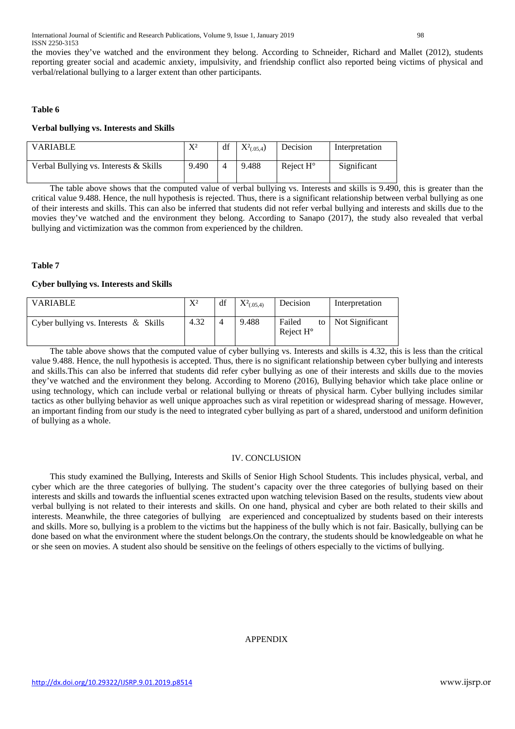the movies they've watched and the environment they belong. According to Schneider, Richard and Mallet (2012), students reporting greater social and academic anxiety, impulsivity, and friendship conflict also reported being victims of physical and verbal/relational bullying to a larger extent than other participants.

#### **Table 6**

#### **Verbal bullying vs. Interests and Skills**

| <b>VARIABLE</b>                          | $X^2$ | df | $X^2_{(.05,4})$ | Decision           | Interpretation |
|------------------------------------------|-------|----|-----------------|--------------------|----------------|
| Verbal Bullying vs. Interests $&$ Skills | 9.490 |    | 9.488           | Reject $H^{\circ}$ | Significant    |

The table above shows that the computed value of verbal bullying vs. Interests and skills is 9.490, this is greater than the critical value 9.488. Hence, the null hypothesis is rejected. Thus, there is a significant relationship between verbal bullying as one of their interests and skills. This can also be inferred that students did not refer verbal bullying and interests and skills due to the movies they've watched and the environment they belong. According to Sanapo (2017), the study also revealed that verbal bullying and victimization was the common from experienced by the children.

## **Table 7**

## **Cyber bullying vs. Interests and Skills**

| <b>VARIABLE</b>                          | $X^2$ | df | $X^2(0.05,4)$ | Decision                     | Interpretation     |
|------------------------------------------|-------|----|---------------|------------------------------|--------------------|
| Cyber bullying vs. Interests $\&$ Skills | 4.32  |    | 9.488         | Failed<br>Reject $H^{\circ}$ | to Not Significant |

The table above shows that the computed value of cyber bullying vs. Interests and skills is 4.32, this is less than the critical value 9.488. Hence, the null hypothesis is accepted. Thus, there is no significant relationship between cyber bullying and interests and skills.This can also be inferred that students did refer cyber bullying as one of their interests and skills due to the movies they've watched and the environment they belong. According to Moreno (2016), Bullying behavior which take place online or using technology, which can include verbal or relational bullying or threats of physical harm. Cyber bullying includes similar tactics as other bullying behavior as well unique approaches such as viral repetition or widespread sharing of message. However, an important finding from our study is the need to integrated cyber bullying as part of a shared, understood and uniform definition of bullying as a whole.

## IV. CONCLUSION

This study examined the Bullying, Interests and Skills of Senior High School Students. This includes physical, verbal, and cyber which are the three categories of bullying. The student's capacity over the three categories of bullying based on their interests and skills and towards the influential scenes extracted upon watching television Based on the results, students view about verbal bullying is not related to their interests and skills. On one hand, physical and cyber are both related to their skills and interests. Meanwhile, the three categories of bullying are experienced and conceptualized by students based on their interests and skills. More so, bullying is a problem to the victims but the happiness of the bully which is not fair. Basically, bullying can be done based on what the environment where the student belongs.On the contrary, the students should be knowledgeable on what he or she seen on movies. A student also should be sensitive on the feelings of others especially to the victims of bullying.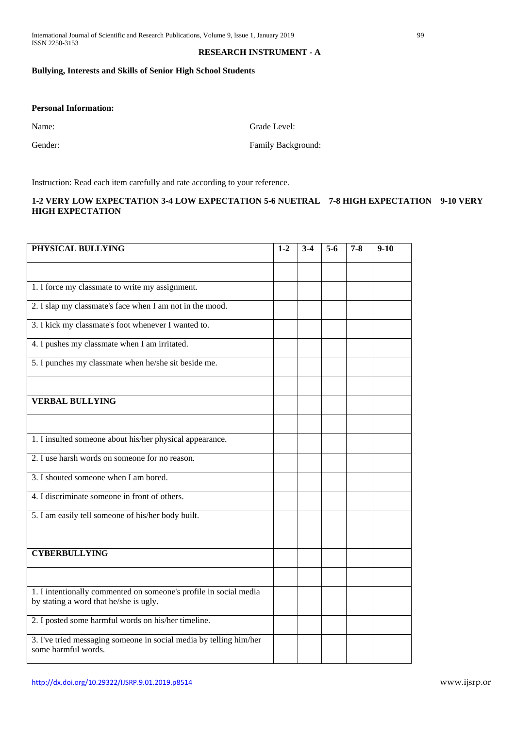## **RESEARCH INSTRUMENT - A**

## **Bullying, Interests and Skills of Senior High School Students**

## **Personal Information:**

Name: Grade Level:

Gender: Family Background:

Instruction: Read each item carefully and rate according to your reference.

## **1-2 VERY LOW EXPECTATION 3-4 LOW EXPECTATION 5-6 NUETRAL 7-8 HIGH EXPECTATION 9-10 VERY HIGH EXPECTATION**

| PHYSICAL BULLYING                                                                                           | $1-2$ | $3-4$ | $5-6$ | $7 - 8$ | $9-10$ |
|-------------------------------------------------------------------------------------------------------------|-------|-------|-------|---------|--------|
|                                                                                                             |       |       |       |         |        |
| 1. I force my classmate to write my assignment.                                                             |       |       |       |         |        |
| 2. I slap my classmate's face when I am not in the mood.                                                    |       |       |       |         |        |
| 3. I kick my classmate's foot whenever I wanted to.                                                         |       |       |       |         |        |
| 4. I pushes my classmate when I am irritated.                                                               |       |       |       |         |        |
| 5. I punches my classmate when he/she sit beside me.                                                        |       |       |       |         |        |
|                                                                                                             |       |       |       |         |        |
| <b>VERBAL BULLYING</b>                                                                                      |       |       |       |         |        |
|                                                                                                             |       |       |       |         |        |
| 1. I insulted someone about his/her physical appearance.                                                    |       |       |       |         |        |
| 2. I use harsh words on someone for no reason.                                                              |       |       |       |         |        |
| 3. I shouted someone when I am bored.                                                                       |       |       |       |         |        |
| 4. I discriminate someone in front of others.                                                               |       |       |       |         |        |
| 5. I am easily tell someone of his/her body built.                                                          |       |       |       |         |        |
|                                                                                                             |       |       |       |         |        |
| <b>CYBERBULLYING</b>                                                                                        |       |       |       |         |        |
|                                                                                                             |       |       |       |         |        |
| 1. I intentionally commented on someone's profile in social media<br>by stating a word that he/she is ugly. |       |       |       |         |        |
| 2. I posted some harmful words on his/her timeline.                                                         |       |       |       |         |        |
| 3. I've tried messaging someone in social media by telling him/her<br>some harmful words.                   |       |       |       |         |        |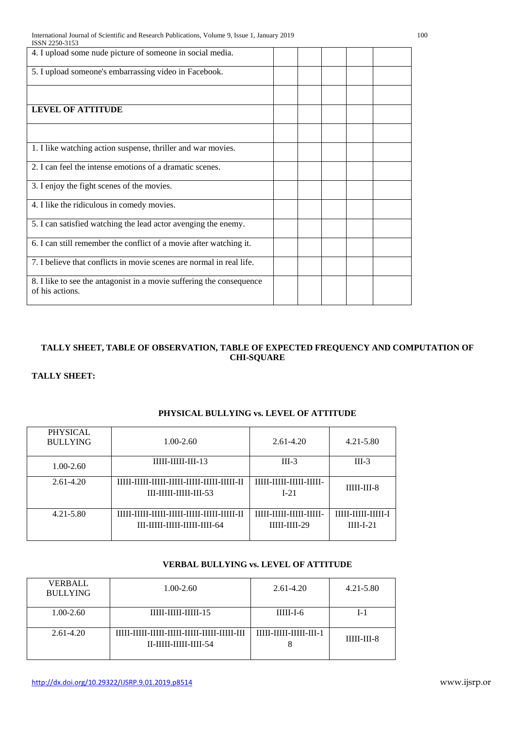| ISSN 2250-3153                                                                          |  |  |  |
|-----------------------------------------------------------------------------------------|--|--|--|
| 4. I upload some nude picture of someone in social media.                               |  |  |  |
| 5. I upload someone's embarrassing video in Facebook.                                   |  |  |  |
|                                                                                         |  |  |  |
| <b>LEVEL OF ATTITUDE</b>                                                                |  |  |  |
|                                                                                         |  |  |  |
| 1. I like watching action suspense, thriller and war movies.                            |  |  |  |
| 2. I can feel the intense emotions of a dramatic scenes.                                |  |  |  |
| 3. I enjoy the fight scenes of the movies.                                              |  |  |  |
| 4. I like the ridiculous in comedy movies.                                              |  |  |  |
| 5. I can satisfied watching the lead actor avenging the enemy.                          |  |  |  |
| 6. I can still remember the conflict of a movie after watching it.                      |  |  |  |
| 7. I believe that conflicts in movie scenes are normal in real life.                    |  |  |  |
| 8. I like to see the antagonist in a movie suffering the consequence<br>of his actions. |  |  |  |

# **TALLY SHEET, TABLE OF OBSERVATION, TABLE OF EXPECTED FREQUENCY AND COMPUTATION OF CHI-SQUARE**

# **TALLY SHEET:**

| <b>PHYSICAL</b><br><b>BULLYING</b> | $1.00 - 2.60$                                                                                       | $2.61 - 4.20$                                      | $4.21 - 5.80$                     |
|------------------------------------|-----------------------------------------------------------------------------------------------------|----------------------------------------------------|-----------------------------------|
| $1.00 - 2.60$                      | $IIIII-IIIII-III-13$                                                                                | $III-3$                                            | $III-3$                           |
| $2.61 - 4.20$                      | TITTI – TITTI – TITTI – TITTI – TITTI – TITTI – TITTI – TI<br>$III - III - III - III - 53$          | <b>TITLE TITLE TITLE TITLE</b><br>L <sub>21</sub>  | $IIIII-III-8$                     |
| $4.21 - 5.80$                      | TITTI-TITTI-TITTI-TITTI-TITTI-TITTI-TITTI-TI<br>$III$ - $IIIII$ - $IIIII$ - $IIIII$ - $IIII$ - $64$ | <b>IIIII-IIIII-IIIII-IIIII-</b><br>$IIIII-IIII-29$ | TITTI-TITTI-TITTI-T<br>$III-I-21$ |

# **PHYSICAL BULLYING vs. LEVEL OF ATTITUDE**

# **VERBAL BULLYING vs. LEVEL OF ATTITUDE**

| <b>VERBALL</b><br><b>BULLYING</b> | $1.00 - 2.60$                                  | $2.61 - 4.20$           | $4.21 - 5.80$ |
|-----------------------------------|------------------------------------------------|-------------------------|---------------|
| $1.00 - 2.60$                     | 11111-11111-11111-15                           | $IIIII-I-6$             | I-1           |
| $2.61 - 4.20$                     | TITIT_ITITI_ITITI_ITITI_ITITI_ITITI_ITITI_ITIT | 11111-11111-11111-111-1 | $IIIII-III-8$ |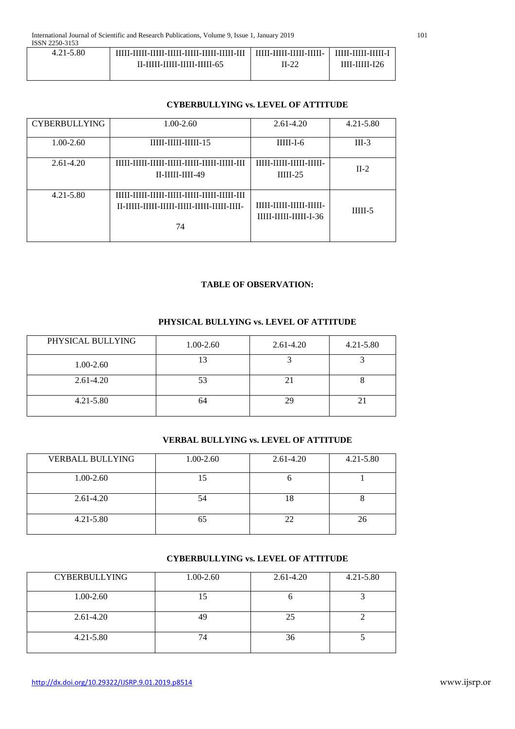| 1001122003100 |                                               |                                 |                       |
|---------------|-----------------------------------------------|---------------------------------|-----------------------|
| $4.21 - 5.80$ | TITIT-TITIT-TITIT-TITIT-TITIT-TITIT-TITIT-TIT | <u>IIIII-IIIII-IIIII-IIIII-</u> | <u>TIME MILEMIN T</u> |
|               | II-IIIII-IIIII-IIIII-IIIII-65                 | II-22                           | ШІ-ШІІ-І26            |
|               |                                               |                                 |                       |

# **CYBERBULLYING vs. LEVEL OF ATTITUDE**

| <b>CYBERBULLYING</b> | $1.00 - 2.60$                                                                              | $2.61 - 4.20$                                                   | $4.21 - 5.80$ |
|----------------------|--------------------------------------------------------------------------------------------|-----------------------------------------------------------------|---------------|
| $1.00 - 2.60$        | 11111-11111-11111-15                                                                       | $IIIII-I-6$                                                     | $III-3$       |
| 2.61-4.20            | TTTTT - TTTTT - TTTTT - TTTTT - TTTTT - TTTTT - TTTTT - TTT<br>$II$ - $IIIII$ - $IIII$ -49 | <b>TITLE TITLE TITLE TITLE</b><br>$IIIII-25$                    | $II-2$        |
| $4.21 - 5.80$        | TTTTT - TTTTT - TTTTT - TTTTT - TTTTT - TTTTT - TTTTT - TTT<br>74                          | <b>TITLE TITLE TITLE TITLE</b><br><b>IIIII-IIIII-IIIII-I-36</b> | $IIIII-5$     |

## **TABLE OF OBSERVATION:**

# **PHYSICAL BULLYING vs. LEVEL OF ATTITUDE**

| PHYSICAL BULLYING | 1.00-2.60 | 2.61-4.20 | $4.21 - 5.80$ |
|-------------------|-----------|-----------|---------------|
| $1.00 - 2.60$     | 13        |           |               |
| $2.61 - 4.20$     | 53        |           |               |
| $4.21 - 5.80$     | 64        |           |               |

# **VERBAL BULLYING vs. LEVEL OF ATTITUDE**

| <b>VERBALL BULLYING</b> | 1.00-2.60 | 2.61-4.20 | $4.21 - 5.80$ |
|-------------------------|-----------|-----------|---------------|
| $1.00 - 2.60$           |           |           |               |
| $2.61 - 4.20$           | 54        |           |               |
| $4.21 - 5.80$           |           |           | 26            |

# **CYBERBULLYING vs. LEVEL OF ATTITUDE**

| <b>CYBERBULLYING</b> | 1.00-2.60 | 2.61-4.20 | $4.21 - 5.80$ |
|----------------------|-----------|-----------|---------------|
| $1.00 - 2.60$        |           |           |               |
| $2.61 - 4.20$        | 49        | 25        |               |
| $4.21 - 5.80$        |           | 36        |               |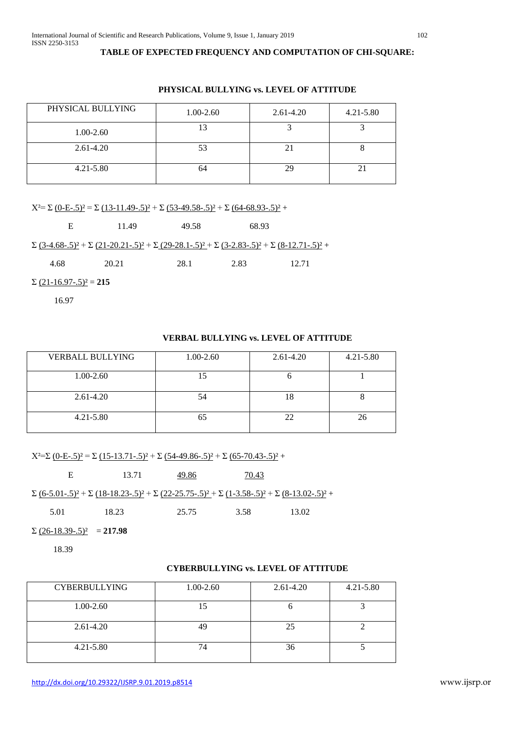## **TABLE OF EXPECTED FREQUENCY AND COMPUTATION OF CHI-SQUARE:**

| PHYSICAL BULLYING | 1.00-2.60 | $2.61 - 4.20$ | $4.21 - 5.80$ |
|-------------------|-----------|---------------|---------------|
| 1.00-2.60         |           |               |               |
| $2.61 - 4.20$     | 53        |               |               |
| $4.21 - 5.80$     | 64        | 29            |               |

## **PHYSICAL BULLYING vs. LEVEL OF ATTITUDE**

 $X^2 = \sum (0-E-5)^2 = \sum (13-11.49-5)^2 + \sum (53-49.58-5)^2 + \sum (64-68.93-5)^2 +$ 

E 11.49 49.58 68.93  $\Sigma$  (3-4.68-.5)<sup>2</sup> +  $\Sigma$  (21-20.21-.5)<sup>2</sup> +  $\Sigma$  (29-28.1-.5)<sup>2</sup> +  $\Sigma$  (3-2.83-.5)<sup>2</sup> +  $\Sigma$  (8-12.71-.5)<sup>2</sup> + 4.68 20.21 28.1 2.83 12.71  $\Sigma$  (21-16.97-.5)<sup>2</sup> = 215

16.97

## **VERBAL BULLYING vs. LEVEL OF ATTITUDE**

| <b>VERBALL BULLYING</b> | 1.00-2.60 | 2.61-4.20 | $4.21 - 5.80$ |
|-------------------------|-----------|-----------|---------------|
| $1.00 - 2.60$           |           |           |               |
| $2.61 - 4.20$           | 54        | 18        | $\Omega$      |
| $4.21 - 5.80$           |           |           | 26            |

 $X^2 = \sum (0-E-5)^2 = \sum (15-13.71-5)^2 + \sum (54-49.86-5)^2 + \sum (65-70.43-5)^2 +$ 

E 13.71 49.86 70.43  $\Sigma$  (6-5.01-.5)<sup>2</sup> +  $\Sigma$  (18-18.23-.5)<sup>2</sup> +  $\Sigma$  (22-25.75-.5)<sup>2</sup> +  $\Sigma$  (1-3.58-.5)<sup>2</sup> +  $\Sigma$  (8-13.02-.5)<sup>2</sup> + 5.01 18.23 25.75 3.58 13.02

 $\sum (26-18.39-.5)^2 = 217.98$ 

18.39

## **CYBERBULLYING vs. LEVEL OF ATTITUDE**

| <b>CYBERBULLYING</b> | 1.00-2.60 | $2.61 - 4.20$ | $4.21 - 5.80$ |
|----------------------|-----------|---------------|---------------|
| $1.00 - 2.60$        |           |               |               |
| $2.61 - 4.20$        | 49        | 25            |               |
| $4.21 - 5.80$        |           | 36            |               |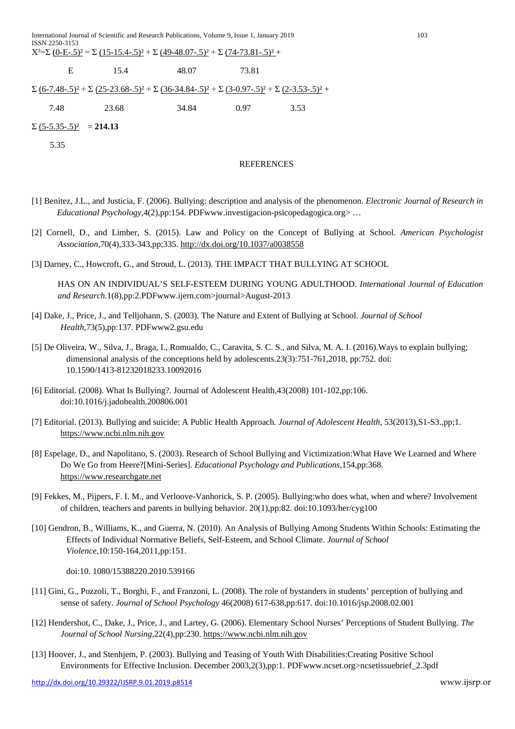|                                 | $X^2=\Sigma$ (0-E-.5) <sup>2</sup> = $\Sigma$ (15-15.4-.5) <sup>2</sup> + $\Sigma$ (49-48.07-.5) <sup>2</sup> + $\Sigma$ (74-73.81-.5) <sup>2</sup> +                                   |                   |       |      |  |
|---------------------------------|-----------------------------------------------------------------------------------------------------------------------------------------------------------------------------------------|-------------------|-------|------|--|
| Е                               | 15.4                                                                                                                                                                                    | 48.07             | 73.81 |      |  |
|                                 | $\Sigma$ (6-7.48-.5) <sup>2</sup> + $\Sigma$ (25-23.68-.5) <sup>2</sup> + $\Sigma$ (36-34.84-.5) <sup>2</sup> + $\Sigma$ (3-0.97-.5) <sup>2</sup> + $\Sigma$ (2-3.53-.5) <sup>2</sup> + |                   |       |      |  |
| 7.48                            | 23.68                                                                                                                                                                                   | 34.84             | 0.97  | 3.53 |  |
| $\Sigma (5-5.35-.5)^2 = 214.13$ |                                                                                                                                                                                         |                   |       |      |  |
| 5.35                            |                                                                                                                                                                                         |                   |       |      |  |
|                                 |                                                                                                                                                                                         | <b>REFERENCES</b> |       |      |  |

- [1] Benitez, J.L., and Justicia, F. (2006). Bullying: description and analysis of the phenomenon. *Electronic Journal of Research in Educational Psychology*,4(2),pp:154. PDFwww.investigacion-psicopedagogica.org> …
- [2] Cornell, D., and Limber, S. (2015). Law and Policy on the Concept of Bullying at School. *American Psychologist Association,*70(4),333-343,pp;335.<http://dx.doi.org/10.1037/a0038558>
- [3] Darney, C., Howcroft, G., and Stroud, L. (2013). THE IMPACT THAT BULLYING AT SCHOOL

HAS ON AN INDIVIDUAL'S SELF-ESTEEM DURING YOUNG ADULTHOOD. *International Journal of Education and Research.*1(8),pp:2.PDFwww.ijern.com>journal>August-2013

- [4] Dake, J., Price, J., and Telljohann, S. (2003). The Nature and Extent of Bullying at School. *Journal of School Health*,73(5),pp:137. PDFwww2.gsu.edu
- [5] De Oliveira, W., Silva, J., Braga, I., Romualdo, C., Caravita, S. C. S., and Silva, M. A. I. (2016).Ways to explain bullying; dimensional analysis of the conceptions held by adolescents.23(3):751-761,2018, pp:752. doi: 10.1590/1413-81232018233.10092016
- [6] Editorial. (2008). What Is Bullying?. Journal of Adolescent Health,43(2008) 101-102,pp:106. doi:10.1016/j.jadohealth.200806.001
- [7] Editorial. (2013). Bullying and suicide: A Public Health Approach. *Journal of Adolescent Health*, 53(2013),S1-S3.,pp;1. [https://www.ncbi.nlm.nih.gov](https://www.ncbi.nlm.nih.gov/)
- [8] Espelage, D., and Napolitano, S. (2003). Research of School Bullying and Victimization:What Have We Learned and Where Do We Go from Heere?[Mini-Series]. *Educational Psychology and Publications*,154,pp:368. [https://www.researchgate.net](https://www.researchgate.net/)
- [9] Fekkes, M., Pijpers, F. I. M., and Verloove-Vanhorick, S. P. (2005). Bullying:who does what, when and where? Involvement of children, teachers and parents in bullying behavior. 20(1),pp:82. doi:10.1093/her/cyg100
- [10] Gendron, B., Williams, K., and Guerra, N. (2010). An Analysis of Bullying Among Students Within Schools: Estimating the Effects of Individual Normative Beliefs, Self-Esteem, and School Climate. *Journal of School Violence*,10:150-164,2011,pp:151.

doi:10. 1080/15388220.2010.539166

- [11] Gini, G., Pozzoli, T., Borghi, F., and Franzoni, L. (2008). The role of bystanders in students' perception of bullying and sense of safety. *Journal of School Psychology* 46(2008) 617-638,pp:617. doi:10.1016/jsp.2008.02.001
- [12] Hendershot, C., Dake, J., Price, J., and Lartey, G. (2006). Elementary School Nurses' Perceptions of Student Bullying. *The Journal of School Nursing*,22(4),pp:230. [https://www.ncbi.nlm.nih.gov](https://www.ncbi.nlm.nih.gov/)
- [13] Hoover, J., and Stenhjem, P. (2003). Bullying and Teasing of Youth With Disabilities:Creating Positive School Environments for Effective Inclusion. December 2003,2(3),pp:1. PDFwww.ncset.org>ncsetissuebrief\_2.3pdf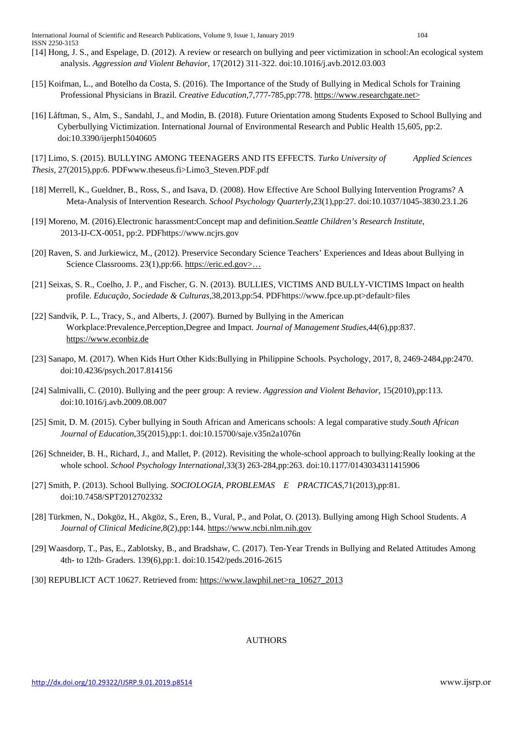- [14] Hong, J. S., and Espelage, D. (2012). A review or research on bullying and peer victimization in school:An ecological system analysis. *Aggression and Violent Behavior*, 17(2012) 311-322. doi:10.1016/j.avb.2012.03.003
- [15] Koifman, L., and Botelho da Costa, S. (2016). The Importance of the Study of Bullying in Medical Schols for Training Professional Physicians in Brazil. *Creative Education,*7,777-785,pp:778. https://www.researchgate.net>
- [16] Låftman, S., Alm, S., Sandahl, J., and Modin, B. (2018). Future Orientation among Students Exposed to School Bullying and Cyberbullying Victimization. International Journal of Environmental Research and Public Health 15,605, pp:2. doi:10.3390/ijerph15040605

[17] Limo, S. (2015). BULLYING AMONG TEENAGERS AND ITS EFFECTS. *Turko University of Applied Sciences Thesis*, 27(2015),pp:6. PDFwww.theseus.fi>Limo3\_Steven.PDF.pdf

- [18] Merrell, K., Gueldner, B., Ross, S., and Isava, D. (2008). How Effective Are School Bullying Intervention Programs? A Meta-Analysis of Intervention Research. *School Psychology Quarterly*,23(1),pp:27. doi:10.1037/1045-3830.23.1.26
- [19] Moreno, M. (2016).Electronic harassment:Concept map and definition.*Seattle Children's Research Institute*, 2013-IJ-CX-0051, pp:2. PDFhttps://www.ncjrs.gov
- [20] Raven, S. and Jurkiewicz, M., (2012). Preservice Secondary Science Teachers' Experiences and Ideas about Bullying in Science Classrooms. 23(1),pp:66. https://eric.ed.gov>...
- [21] Seixas, S. R., Coelho, J. P., and Fischer, G. N. (2013). BULLIES, VICTIMS AND BULLY-VICTIMS Impact on health profile. *Educação, Sociedade & Culturas*,38,2013,pp:54. PDFhttps://www.fpce.up.pt>default>files
- [22] Sandvik, P. L., Tracy, S., and Alberts, J. (2007). Burned by Bullying in the American Workplace:Prevalence,Perception,Degree and Impact. *Journal of Management Studies*,44(6),pp:837. [https://www.econbiz.de](https://www.econbiz.de/)
- [23] Sanapo, M. (2017). When Kids Hurt Other Kids:Bullying in Philippine Schools. Psychology, 2017, 8, 2469-2484,pp:2470. doi:10.4236/psych.2017.814156
- [24] Salmivalli, C. (2010). Bullying and the peer group: A review. *Aggression and Violent Behavior*, 15(2010),pp:113. doi:10.1016/j.avb.2009.08.007
- [25] Smit, D. M. (2015). Cyber bullying in South African and Americans schools: A legal comparative study.*South African Journal of Education*,35(2015),pp:1. doi:10.15700/saje.v35n2a1076n
- [26] Schneider, B. H., Richard, J., and Mallet, P. (2012). Revisiting the whole-school approach to bullying:Really looking at the whole school. *School Psychology International*,33(3) 263-284,pp:263. doi:10.1177/0143034311415906
- [27] Smith, P. (2013). School Bullying. *SOCIOLOGIA, PROBLEMAS E PRACTICAS*,71(2013),pp:81. doi:10.7458/SPT2012702332
- [28] Türkmen, N., Dokgöz, H., Akgöz, S., Eren, B., Vural, P., and Polat, O. (2013). Bullying among High School Students. *A Journal of Clinical Medicine*,8(2),pp:144. [https://www.ncbi.nlm.nih.gov](https://www.ncbi.nlm.nih.gov/)
- [29] Waasdorp, T., Pas, E., Zablotsky, B., and Bradshaw, C. (2017). Ten-Year Trends in Bullying and Related Attitudes Among 4th- to 12th- Graders. 139(6),pp:1. doi:10.1542/peds.2016-2615
- [30] REPUBLICT ACT 10627. Retrieved from: https://www.lawphil.net>ra\_10627\_2013

AUTHORS